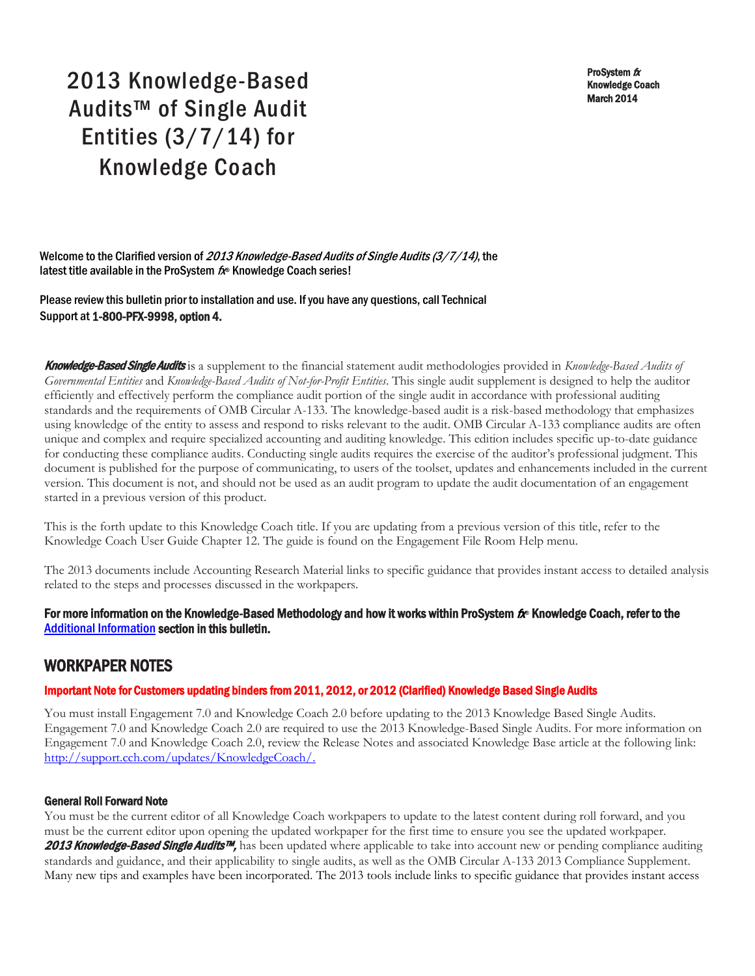ProSystem fx Knowledge Coach March 2014

# 2013 Knowledge-Based Audits™ of Single Audit Entities (3/7/14) for Knowledge Coach

Welcome to the Clarified version of 2013 Knowledge-Based Audits of Single Audits (3/7/14), the latest title available in the ProSystem  $f_x$  Knowledge Coach series!

Please review this bulletin prior to installation and use. If you have any questions, call Technical Support at 1-800-PFX-9998, option 4.

Knowledge-Based Single Audits is a supplement to the financial statement audit methodologies provided in *Knowledge-Based Audits of Governmental Entities* and *Knowledge-Based Audits of Not-for-Profit Entities*. This single audit supplement is designed to help the auditor efficiently and effectively perform the compliance audit portion of the single audit in accordance with professional auditing standards and the requirements of OMB Circular A-133. The knowledge-based audit is a risk-based methodology that emphasizes using knowledge of the entity to assess and respond to risks relevant to the audit. OMB Circular A-133 compliance audits are often unique and complex and require specialized accounting and auditing knowledge. This edition includes specific up-to-date guidance for conducting these compliance audits. Conducting single audits requires the exercise of the auditor's professional judgment. This document is published for the purpose of communicating, to users of the toolset, updates and enhancements included in the current version. This document is not, and should not be used as an audit program to update the audit documentation of an engagement started in a previous version of this product.

This is the forth update to this Knowledge Coach title. If you are updating from a previous version of this title, refer to the Knowledge Coach User Guide Chapter 12. The guide is found on the Engagement File Room Help menu.

The 2013 documents include Accounting Research Material links to specific guidance that provides instant access to detailed analysis related to the steps and processes discussed in the workpapers.

# For more information on the Knowledge-Based Methodology and how it works within ProSystem  $f$  Knowledge Coach, refer to the [Additional Information s](#page-2-0)ection in this bulletin.

# WORKPAPER NOTES

# Important Note for Customers updating binders from 2011, 2012, or 2012 (Clarified) Knowledge Based Single Audits

You must install Engagement 7.0 and Knowledge Coach 2.0 before updating to the 2013 Knowledge Based Single Audits. Engagement 7.0 and Knowledge Coach 2.0 are required to use the 2013 Knowledge-Based Single Audits. For more information on Engagement 7.0 and Knowledge Coach 2.0, review the Release Notes and associated Knowledge Base article at the following link: [http://support.cch.com/updates/KnowledgeCoach/.](http://support.cch.com/updates/KnowledgeCoach/) 

#### General Roll Forward Note

You must be the current editor of all Knowledge Coach workpapers to update to the latest content during roll forward, and you must be the current editor upon opening the updated workpaper for the first time to ensure you see the updated workpaper. 2013 Knowledge-Based Single Audits™, has been updated where applicable to take into account new or pending compliance auditing standards and guidance, and their applicability to single audits, as well as the OMB Circular A-133 2013 Compliance Supplement. Many new tips and examples have been incorporated. The 2013 tools include links to specific guidance that provides instant access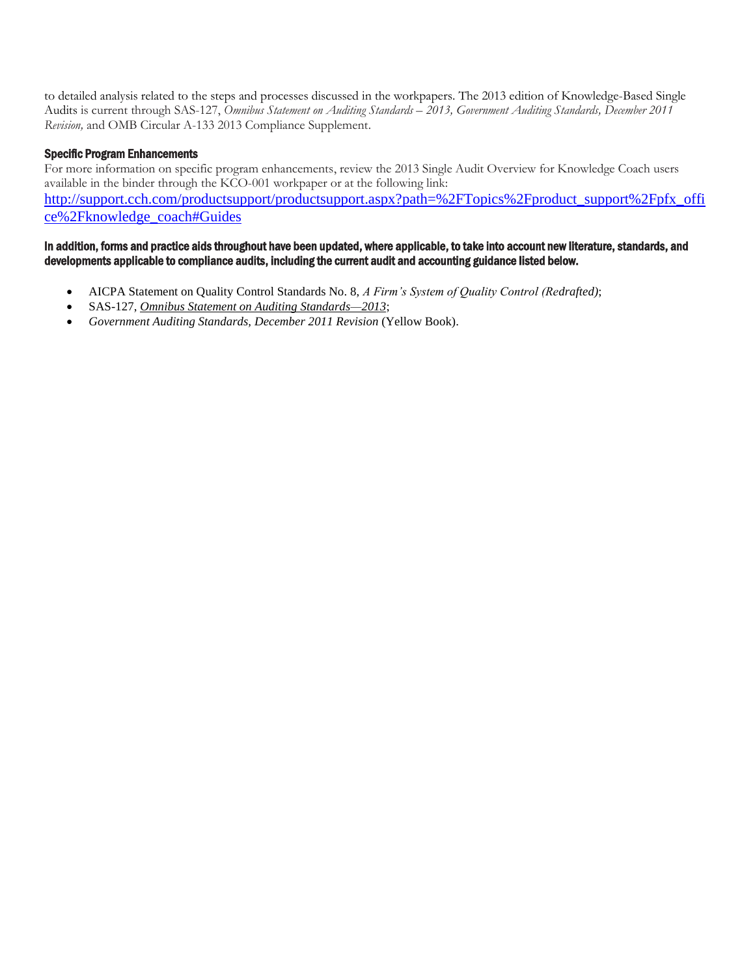to detailed analysis related to the steps and processes discussed in the workpapers. The 2013 edition of Knowledge-Based Single Audits is current through SAS-127, *Omnibus Statement on Auditing Standards – 2013, Government Auditing Standards, December 2011 Revision,* and OMB Circular A-133 2013 Compliance Supplement.

# Specific Program Enhancements

For more information on specific program enhancements, review the 2013 Single Audit Overview for Knowledge Coach users available in the binder through the KCO-001 workpaper or at the following link: [http://support.cch.com/productsupport/productsupport.aspx?path=%2FTopics%2Fproduct\\_support%2Fpfx\\_offi](http://support.cch.com/productsupport/productsupport.aspx?path=%2FTopics%2Fproduct_support%2Fpfx_office%2Fknowledge_coach#Guides) [ce%2Fknowledge\\_coach#Guides](http://support.cch.com/productsupport/productsupport.aspx?path=%2FTopics%2Fproduct_support%2Fpfx_office%2Fknowledge_coach#Guides)

#### In addition, forms and practice aids throughout have been updated, where applicable, to take into account new literature, standards, and developments applicable to compliance audits, including the current audit and accounting guidance listed below.

- AICPA Statement on Quality Control Standards No. 8, *A Firm's System of Quality Control (Redrafted)*;
- SAS-127, *Omnibus Statement on Auditing Standards—2013*;
- *Government Auditing Standards, December 2011 Revision* (Yellow Book).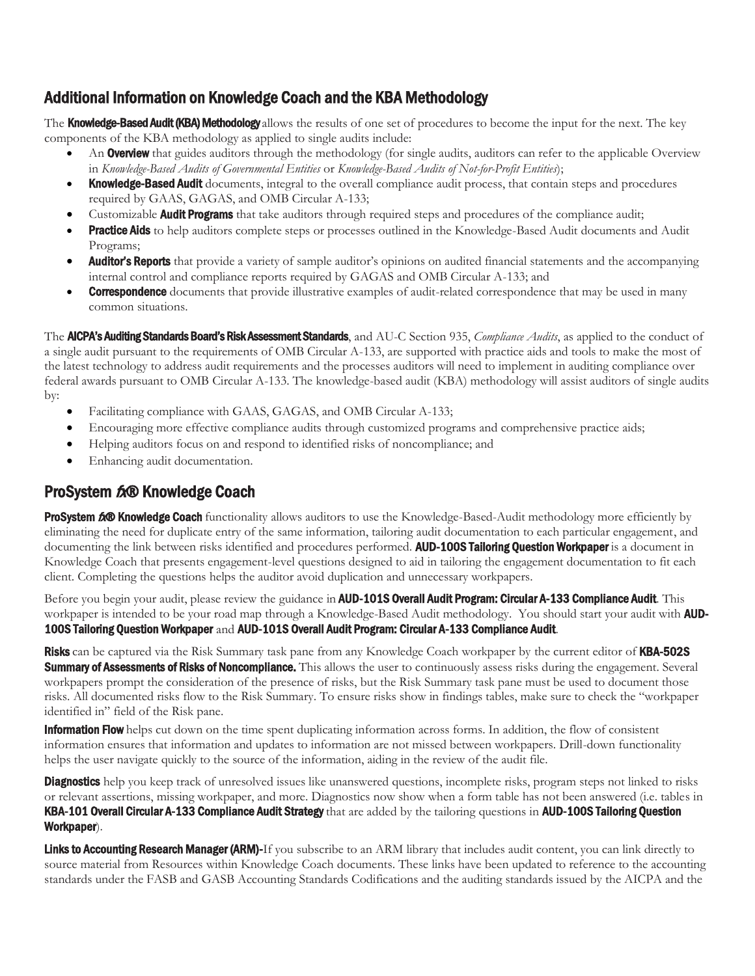# <span id="page-2-0"></span>Additional Information on Knowledge Coach and the KBA Methodology

The **Knowledge-Based Audit (KBA) Methodology** allows the results of one set of procedures to become the input for the next. The key components of the KBA methodology as applied to single audits include:

- An **Overview** that guides auditors through the methodology (for single audits, auditors can refer to the applicable Overview in *Knowledge-Based Audits of Governmental Entities* or *Knowledge-Based Audits of Not-for-Profit Entities*);
- Knowledge-Based Audit documents, integral to the overall compliance audit process, that contain steps and procedures required by GAAS, GAGAS, and OMB Circular A-133;
- Customizable **Audit Programs** that take auditors through required steps and procedures of the compliance audit;
- Practice Aids to help auditors complete steps or processes outlined in the Knowledge-Based Audit documents and Audit Programs;
- **Auditor's Reports** that provide a variety of sample auditor's opinions on audited financial statements and the accompanying internal control and compliance reports required by GAGAS and OMB Circular A-133; and
- **Correspondence** documents that provide illustrative examples of audit-related correspondence that may be used in many common situations.

The AICPA's Auditing Standards Board's Risk Assessment Standards, and AU-C Section 935, *Compliance Audits*, as applied to the conduct of a single audit pursuant to the requirements of OMB Circular A-133, are supported with practice aids and tools to make the most of the latest technology to address audit requirements and the processes auditors will need to implement in auditing compliance over federal awards pursuant to OMB Circular A-133. The knowledge-based audit (KBA) methodology will assist auditors of single audits by:

- Facilitating compliance with GAAS, GAGAS, and OMB Circular A-133;
- Encouraging more effective compliance audits through customized programs and comprehensive practice aids;
- Helping auditors focus on and respond to identified risks of noncompliance; and
- Enhancing audit documentation.

# ProSystem  $f_x\otimes f$  Knowledge Coach

ProSystem 600 Knowledge Coach functionality allows auditors to use the Knowledge-Based-Audit methodology more efficiently by eliminating the need for duplicate entry of the same information, tailoring audit documentation to each particular engagement, and documenting the link between risks identified and procedures performed. AUD-100S Tailoring Question Workpaper is a document in Knowledge Coach that presents engagement-level questions designed to aid in tailoring the engagement documentation to fit each client. Completing the questions helps the auditor avoid duplication and unnecessary workpapers.

Before you begin your audit, please review the guidance in **AUD-101S Overall Audit Program: Circular A-133 Compliance Audit**. This workpaper is intended to be your road map through a Knowledge-Based Audit methodology. You should start your audit with **AUD-**100S Tailoring Question Workpaper and AUD-101S Overall Audit Program: Circular A-133 Compliance Audit.

Risks can be captured via the Risk Summary task pane from any Knowledge Coach workpaper by the current editor of KBA-502S **Summary of Assessments of Risks of Noncompliance.** This allows the user to continuously assess risks during the engagement. Several workpapers prompt the consideration of the presence of risks, but the Risk Summary task pane must be used to document those risks. All documented risks flow to the Risk Summary. To ensure risks show in findings tables, make sure to check the "workpaper identified in" field of the Risk pane.

**Information Flow** helps cut down on the time spent duplicating information across forms. In addition, the flow of consistent information ensures that information and updates to information are not missed between workpapers. Drill-down functionality helps the user navigate quickly to the source of the information, aiding in the review of the audit file.

**Diagnostics** help you keep track of unresolved issues like unanswered questions, incomplete risks, program steps not linked to risks or relevant assertions, missing workpaper, and more. Diagnostics now show when a form table has not been answered (i.e. tables in KBA-101 Overall Circular A-133 Compliance Audit Strategy that are added by the tailoring questions in AUD-100S Tailoring Question Workpaper).

Links to Accounting Research Manager (ARM)-If you subscribe to an ARM library that includes audit content, you can link directly to source material from Resources within Knowledge Coach documents. These links have been updated to reference to the accounting standards under the FASB and GASB Accounting Standards Codifications and the auditing standards issued by the AICPA and the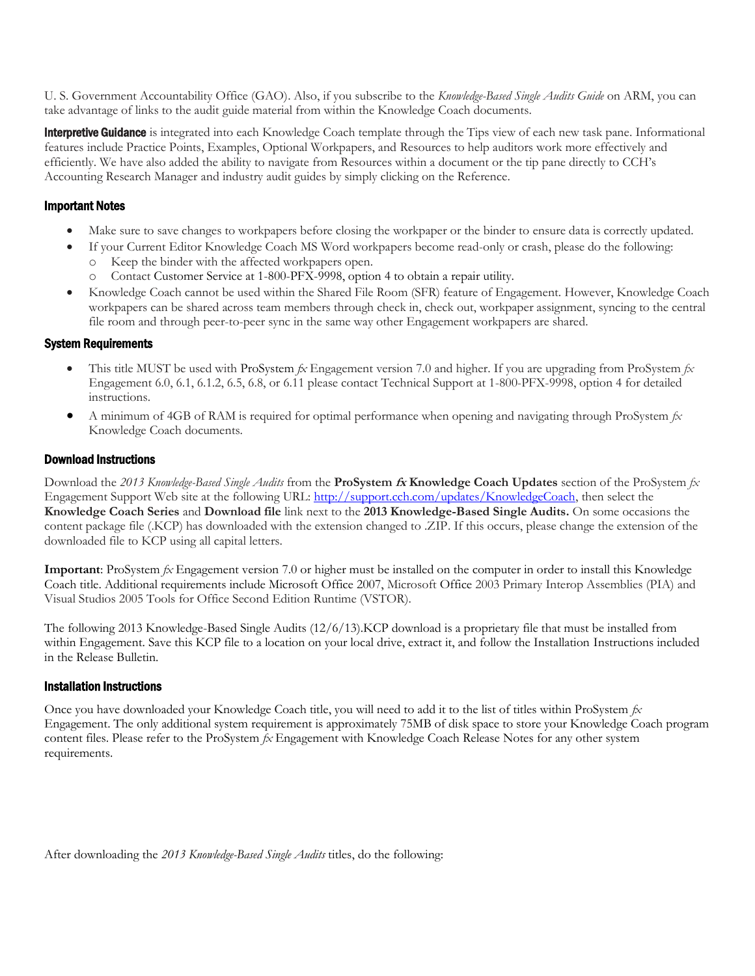U. S. Government Accountability Office (GAO). Also, if you subscribe to the *Knowledge-Based Single Audits Guide* on ARM, you can take advantage of links to the audit guide material from within the Knowledge Coach documents.

**Interpretive Guidance** is integrated into each Knowledge Coach template through the Tips view of each new task pane. Informational features include Practice Points, Examples, Optional Workpapers, and Resources to help auditors work more effectively and efficiently. We have also added the ability to navigate from Resources within a document or the tip pane directly to CCH's Accounting Research Manager and industry audit guides by simply clicking on the Reference.

# Important Notes

- Make sure to save changes to workpapers before closing the workpaper or the binder to ensure data is correctly updated.
- If your Current Editor Knowledge Coach MS Word workpapers become read-only or crash, please do the following:
	- o Keep the binder with the affected workpapers open.
	- o Contact Customer Service at 1-800-PFX-9998, option 4 to obtain a repair utility.
- Knowledge Coach cannot be used within the Shared File Room (SFR) feature of Engagement. However, Knowledge Coach workpapers can be shared across team members through check in, check out, workpaper assignment, syncing to the central file room and through peer-to-peer sync in the same way other Engagement workpapers are shared.

#### System Requirements

- This title MUST be used with ProSystem *fx* Engagement version 7.0 and higher. If you are upgrading from ProSystem *fx*  Engagement 6.0, 6.1, 6.1.2, 6.5, 6.8, or 6.11 please contact Technical Support at 1-800-PFX-9998, option 4 for detailed instructions.
- A minimum of 4GB of RAM is required for optimal performance when opening and navigating through ProSystem *fx*  Knowledge Coach documents.

#### Download Instructions

Download the *2013 Knowledge-Based Single Audits* from the **ProSystem fx Knowledge Coach Updates** section of the ProSystem *fx*  Engagement Support Web site at the following URL: [http://support.cch.com/updates/KnowledgeCoach,](http://support.cch.com/updates/KnowledgeCoach) then select the **Knowledge Coach Series** and **Download file** link next to the **2013 Knowledge-Based Single Audits.** On some occasions the content package file (.KCP) has downloaded with the extension changed to .ZIP. If this occurs, please change the extension of the downloaded file to KCP using all capital letters.

**Important**: ProSystem *fx* Engagement version 7.0 or higher must be installed on the computer in order to install this Knowledge Coach title. Additional requirements include Microsoft Office 2007, Microsoft Office 2003 Primary Interop Assemblies (PIA) and Visual Studios 2005 Tools for Office Second Edition Runtime (VSTOR).

The following 2013 Knowledge-Based Single Audits (12/6/13).KCP download is a proprietary file that must be installed from within Engagement. Save this KCP file to a location on your local drive, extract it, and follow the Installation Instructions included in the Release Bulletin.

# Installation Instructions

Once you have downloaded your Knowledge Coach title, you will need to add it to the list of titles within ProSystem *fx*  Engagement. The only additional system requirement is approximately 75MB of disk space to store your Knowledge Coach program content files. Please refer to the ProSystem *fx* Engagement with Knowledge Coach Release Notes for any other system requirements.

After downloading the *2013 Knowledge-Based Single Audits* titles, do the following: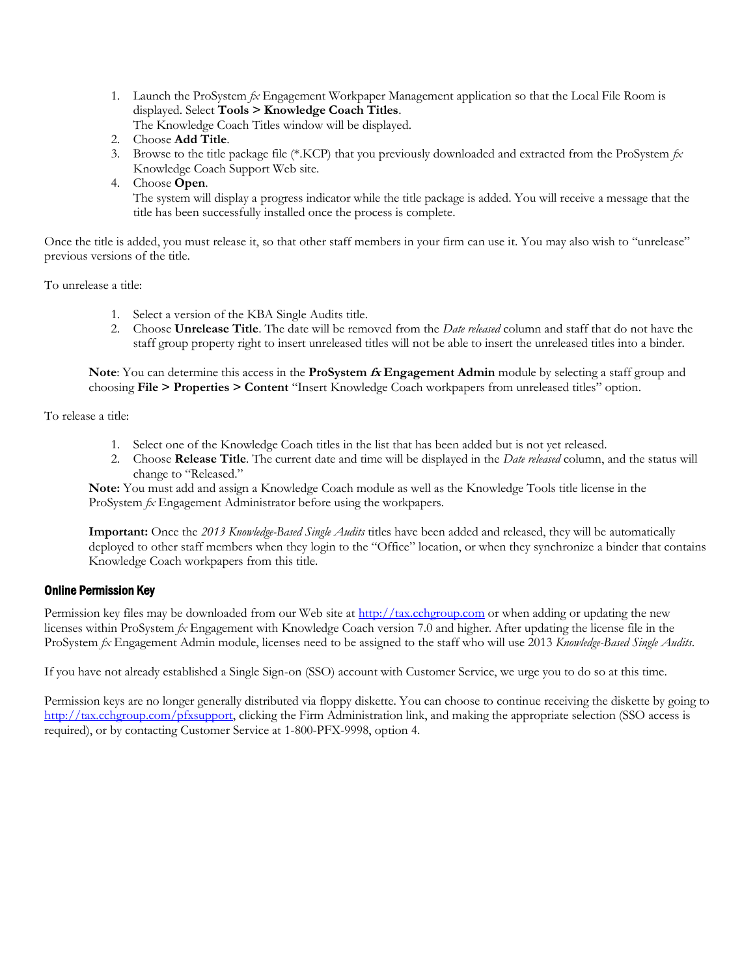1. Launch the ProSystem *fx* Engagement Workpaper Management application so that the Local File Room is displayed. Select **Tools > Knowledge Coach Titles**.

The Knowledge Coach Titles window will be displayed.

- 2. Choose **Add Title**.
- 3. Browse to the title package file (\*.KCP) that you previously downloaded and extracted from the ProSystem *fx*  Knowledge Coach Support Web site.
- 4. Choose **Open**.

 The system will display a progress indicator while the title package is added. You will receive a message that the title has been successfully installed once the process is complete.

Once the title is added, you must release it, so that other staff members in your firm can use it. You may also wish to "unrelease" previous versions of the title.

To unrelease a title:

- 1. Select a version of the KBA Single Audits title.
- 2. Choose **Unrelease Title**. The date will be removed from the *Date released* column and staff that do not have the staff group property right to insert unreleased titles will not be able to insert the unreleased titles into a binder.

**Note**: You can determine this access in the **ProSystem fx Engagement Admin** module by selecting a staff group and choosing **File > Properties > Content** "Insert Knowledge Coach workpapers from unreleased titles" option.

To release a title:

- 1. Select one of the Knowledge Coach titles in the list that has been added but is not yet released.
- 2. Choose **Release Title**. The current date and time will be displayed in the *Date released* column, and the status will change to "Released."

**Note:** You must add and assign a Knowledge Coach module as well as the Knowledge Tools title license in the ProSystem *fx* Engagement Administrator before using the workpapers.

**Important:** Once the *2013 Knowledge-Based Single Audits* titles have been added and released, they will be automatically deployed to other staff members when they login to the "Office" location, or when they synchronize a binder that contains Knowledge Coach workpapers from this title.

# Online Permission Key

Permission key files may be downloaded from our Web site a[t http://tax.cchgroup.com](http://tax.cchgroup.com/) or when adding or updating the new licenses within ProSystem *fx* Engagement with Knowledge Coach version 7.0 and higher. After updating the license file in the ProSystem *fx* Engagement Admin module, licenses need to be assigned to the staff who will use 2013 *Knowledge-Based Single Audits*.

If you have not already established a Single Sign-on (SSO) account with Customer Service, we urge you to do so at this time.

Permission keys are no longer generally distributed via floppy diskette. You can choose to continue receiving the diskette by going to [http://tax.cchgroup.com/pfxsupport,](http://tax.cchgroup.com/pfxsupport) clicking the Firm Administration link, and making the appropriate selection (SSO access is required), or by contacting Customer Service at 1-800-PFX-9998, option 4.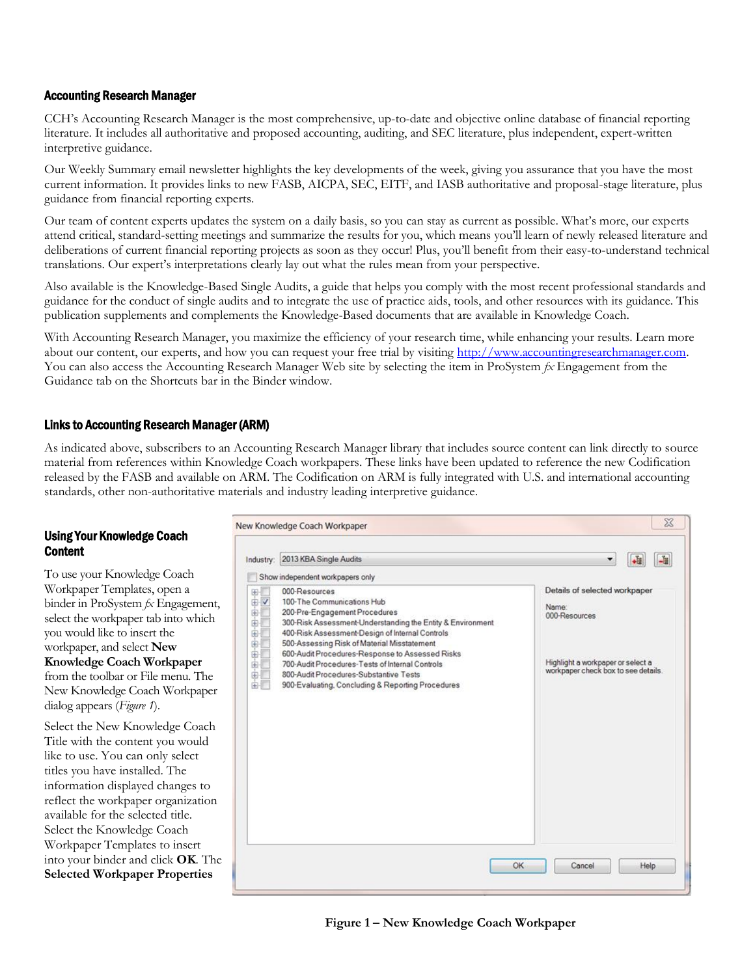# Accounting Research Manager

CCH's Accounting Research Manager is the most comprehensive, up-to-date and objective online database of financial reporting literature. It includes all authoritative and proposed accounting, auditing, and SEC literature, plus independent, expert-written interpretive guidance.

Our Weekly Summary email newsletter highlights the key developments of the week, giving you assurance that you have the most current information. It provides links to new FASB, AICPA, SEC, EITF, and IASB authoritative and proposal-stage literature, plus guidance from financial reporting experts.

Our team of content experts updates the system on a daily basis, so you can stay as current as possible. What's more, our experts attend critical, standard-setting meetings and summarize the results for you, which means you'll learn of newly released literature and deliberations of current financial reporting projects as soon as they occur! Plus, you'll benefit from their easy-to-understand technical translations. Our expert's interpretations clearly lay out what the rules mean from your perspective.

Also available is the Knowledge-Based Single Audits, a guide that helps you comply with the most recent professional standards and guidance for the conduct of single audits and to integrate the use of practice aids, tools, and other resources with its guidance. This publication supplements and complements the Knowledge-Based documents that are available in Knowledge Coach.

With Accounting Research Manager, you maximize the efficiency of your research time, while enhancing your results. Learn more about our content, our experts, and how you can request your free trial by visiting http://www.accountingresearchmanager.com. You can also access the Accounting Research Manager Web site by selecting the item in ProSystem  $\beta x$  Engagement from the Guidance tab on the Shortcuts bar in the Binder window.

#### Links to Accounting Research Manager (ARM)

As indicated above, subscribers to an Accounting Research Manager library that includes source content can link directly to source material from references within Knowledge Coach workpapers. These links have been updated to reference the new Codification released by the FASB and available on ARM. The Codification on ARM is fully integrated with U.S. and international accounting standards, other non-authoritative materials and industry leading interpretive guidance.

#### Using Your Knowledge Coach **Content**

To use your Knowledge Coach Workpaper Templates, open a binder in ProSystem *fx* Engagement, select the workpaper tab into which you would like to insert the workpaper, and select **New Knowledge Coach Workpaper**  from the toolbar or File menu. The New Knowledge Coach Workpaper dialog appears (*Figure 1*).

Select the New Knowledge Coach Title with the content you would like to use. You can only select titles you have installed. The information displayed changes to reflect the workpaper organization available for the selected title. Select the Knowledge Coach Workpaper Templates to insert into your binder and click **OK**. The **Selected Workpaper Properties**

| Industry:                                                                               | 2013 KBA Single Audits                                                                                                                                                                                                                                                                                                                                                                                                                            | $+1$                                                                                                                                |
|-----------------------------------------------------------------------------------------|---------------------------------------------------------------------------------------------------------------------------------------------------------------------------------------------------------------------------------------------------------------------------------------------------------------------------------------------------------------------------------------------------------------------------------------------------|-------------------------------------------------------------------------------------------------------------------------------------|
|                                                                                         | Show independent workpapers only                                                                                                                                                                                                                                                                                                                                                                                                                  |                                                                                                                                     |
| EH<br>田<br>由<br>田<br>由<br>由<br>ė<br>$\frac{1}{\left(\frac{1}{2}\right)} \, ,$<br>÷<br>由 | 000-Resources<br>100-The Communications Hub<br>200-Pre-Engagement Procedures<br>300-Risk Assessment-Understanding the Entity & Environment<br>400-Risk Assessment-Design of Internal Controls<br>500-Assessing Risk of Material Misstatement<br>600-Audit Procedures-Response to Assessed Risks<br>700-Audit Procedures-Tests of Internal Controls<br>800-Audit Procedures-Substantive Tests<br>900-Evaluating, Concluding & Reporting Procedures | Details of selected workpaper<br>Name:<br>000-Resources<br>Highlight a workpaper or select a<br>workpaper check box to see details. |
|                                                                                         | OK                                                                                                                                                                                                                                                                                                                                                                                                                                                | Cancel<br>Help                                                                                                                      |